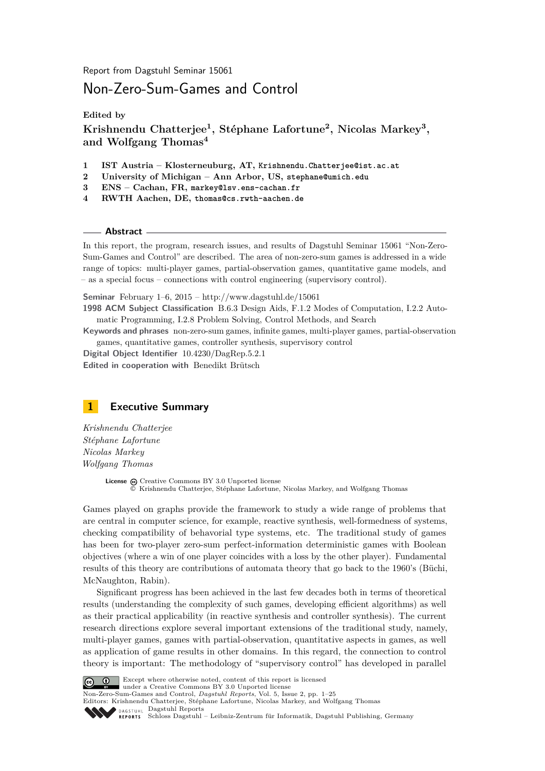Report from Dagstuhl Seminar 15061

# Non-Zero-Sum-Games and Control

**Edited by**

**Krishnendu Chatterjee<sup>1</sup> , Stéphane Lafortune<sup>2</sup> , Nicolas Markey<sup>3</sup> , and Wolfgang Thomas<sup>4</sup>**

- **1 IST Austria Klosterneuburg, AT, Krishnendu.Chatterjee@ist.ac.at**
- **2 University of Michigan Ann Arbor, US, stephane@umich.edu**
- **3 ENS Cachan, FR, markey@lsv.ens-cachan.fr**
- **4 RWTH Aachen, DE, thomas@cs.rwth-aachen.de**

**Abstract**

In this report, the program, research issues, and results of Dagstuhl Seminar 15061 "Non-Zero-Sum-Games and Control" are described. The area of non-zero-sum games is addressed in a wide range of topics: multi-player games, partial-observation games, quantitative game models, and – as a special focus – connections with control engineering (supervisory control).

**Seminar** February 1–6, 2015 –<http://www.dagstuhl.de/15061>

**1998 ACM Subject Classification** B.6.3 Design Aids, F.1.2 Modes of Computation, I.2.2 Automatic Programming, I.2.8 Problem Solving, Control Methods, and Search

**Keywords and phrases** non-zero-sum games, infinite games, multi-player games, partial-observation games, quantitative games, controller synthesis, supervisory control

**Digital Object Identifier** [10.4230/DagRep.5.2.1](http://dx.doi.org/10.4230/DagRep.5.2.1) **Edited in cooperation with** Benedikt Brütsch

# <span id="page-0-0"></span>**1 Executive Summary**

*Krishnendu Chatterjee Stéphane Lafortune Nicolas Markey Wolfgang Thomas*

> **License**  $\textcircled{c}$  [Creative Commons BY 3.0 Unported](http://creativecommons.org/licenses/by/3.0/) license © [Krishnendu Chatterjee, Stéphane Lafortune, Nicolas Markey, and Wolfgang Thomas](#page-0-0)

Games played on graphs provide the framework to study a wide range of problems that are central in computer science, for example, reactive synthesis, well-formedness of systems, checking compatibility of behavorial type systems, etc. The traditional study of games has been for two-player zero-sum perfect-information deterministic games with Boolean objectives (where a win of one player coincides with a loss by the other player). Fundamental results of this theory are contributions of automata theory that go back to the 1960's (Büchi, McNaughton, Rabin).

Significant progress has been achieved in the last few decades both in terms of theoretical results (understanding the complexity of such games, developing efficient algorithms) as well as their practical applicability (in reactive synthesis and controller synthesis). The current research directions explore several important extensions of the traditional study, namely, multi-player games, games with partial-observation, quantitative aspects in games, as well as application of game results in other domains. In this regard, the connection to control theory is important: The methodology of "supervisory control" has developed in parallel



**Except** where otherwise noted, content of this report is licensed under a [Creative Commons BY 3.0 Unported](http://creativecommons.org/licenses/by/3.0/) license

Non-Zero-Sum-Games and Control, *Dagstuhl Reports*, Vol. 5, Issue 2, pp. 1[–25](#page-24-0)

Editors: Krishnendu Chatterjee, Stéphane Lafortune, Nicolas Markey, and Wolfgang Thomas

DAGSTUHL [Dagstuhl Reports](http://www.dagstuhl.de/dagstuhl-reports/)

[Schloss Dagstuhl – Leibniz-Zentrum für Informatik, Dagstuhl Publishing, Germany](http://www.dagstuhl.de)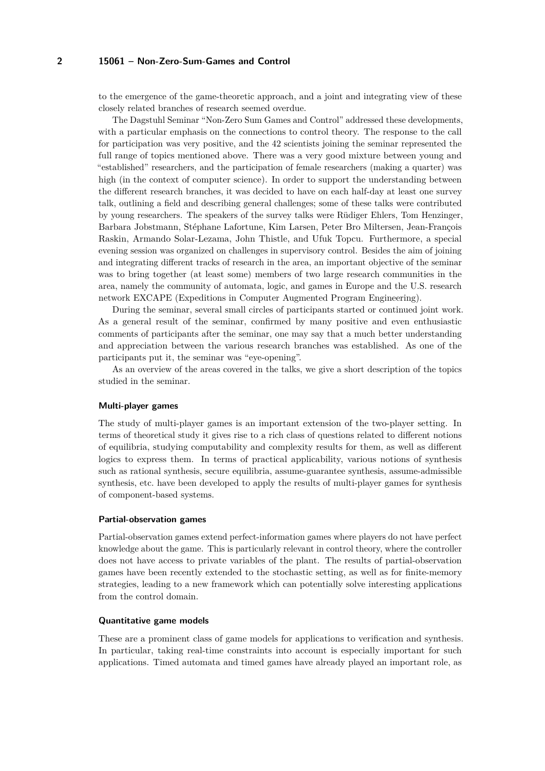to the emergence of the game-theoretic approach, and a joint and integrating view of these closely related branches of research seemed overdue.

The Dagstuhl Seminar "Non-Zero Sum Games and Control" addressed these developments, with a particular emphasis on the connections to control theory. The response to the call for participation was very positive, and the 42 scientists joining the seminar represented the full range of topics mentioned above. There was a very good mixture between young and "established" researchers, and the participation of female researchers (making a quarter) was high (in the context of computer science). In order to support the understanding between the different research branches, it was decided to have on each half-day at least one survey talk, outlining a field and describing general challenges; some of these talks were contributed by young researchers. The speakers of the survey talks were Rüdiger Ehlers, Tom Henzinger, Barbara Jobstmann, Stéphane Lafortune, Kim Larsen, Peter Bro Miltersen, Jean-François Raskin, Armando Solar-Lezama, John Thistle, and Ufuk Topcu. Furthermore, a special evening session was organized on challenges in supervisory control. Besides the aim of joining and integrating different tracks of research in the area, an important objective of the seminar was to bring together (at least some) members of two large research communities in the area, namely the community of automata, logic, and games in Europe and the U.S. research network EXCAPE (Expeditions in Computer Augmented Program Engineering).

During the seminar, several small circles of participants started or continued joint work. As a general result of the seminar, confirmed by many positive and even enthusiastic comments of participants after the seminar, one may say that a much better understanding and appreciation between the various research branches was established. As one of the participants put it, the seminar was "eye-opening".

As an overview of the areas covered in the talks, we give a short description of the topics studied in the seminar.

#### **Multi-player games**

The study of multi-player games is an important extension of the two-player setting. In terms of theoretical study it gives rise to a rich class of questions related to different notions of equilibria, studying computability and complexity results for them, as well as different logics to express them. In terms of practical applicability, various notions of synthesis such as rational synthesis, secure equilibria, assume-guarantee synthesis, assume-admissible synthesis, etc. have been developed to apply the results of multi-player games for synthesis of component-based systems.

#### **Partial-observation games**

Partial-observation games extend perfect-information games where players do not have perfect knowledge about the game. This is particularly relevant in control theory, where the controller does not have access to private variables of the plant. The results of partial-observation games have been recently extended to the stochastic setting, as well as for finite-memory strategies, leading to a new framework which can potentially solve interesting applications from the control domain.

#### **Quantitative game models**

These are a prominent class of game models for applications to verification and synthesis. In particular, taking real-time constraints into account is especially important for such applications. Timed automata and timed games have already played an important role, as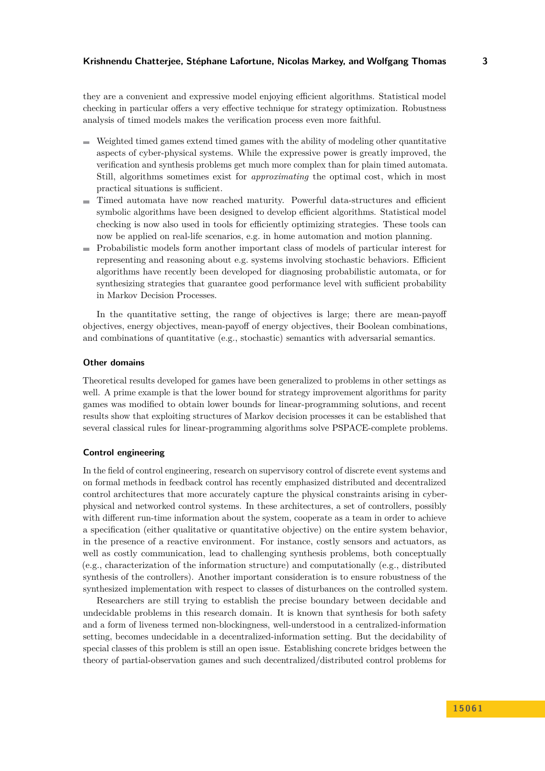they are a convenient and expressive model enjoying efficient algorithms. Statistical model checking in particular offers a very effective technique for strategy optimization. Robustness analysis of timed models makes the verification process even more faithful.

- $\blacksquare$  Weighted timed games extend timed games with the ability of modeling other quantitative aspects of cyber-physical systems. While the expressive power is greatly improved, the verification and synthesis problems get much more complex than for plain timed automata. Still, algorithms sometimes exist for *approximating* the optimal cost, which in most practical situations is sufficient.
- Timed automata have now reached maturity. Powerful data-structures and efficient symbolic algorithms have been designed to develop efficient algorithms. Statistical model checking is now also used in tools for efficiently optimizing strategies. These tools can now be applied on real-life scenarios, e.g. in home automation and motion planning.
- Probabilistic models form another important class of models of particular interest for representing and reasoning about e.g. systems involving stochastic behaviors. Efficient algorithms have recently been developed for diagnosing probabilistic automata, or for synthesizing strategies that guarantee good performance level with sufficient probability in Markov Decision Processes.

In the quantitative setting, the range of objectives is large; there are mean-payoff objectives, energy objectives, mean-payoff of energy objectives, their Boolean combinations, and combinations of quantitative (e.g., stochastic) semantics with adversarial semantics.

#### **Other domains**

Theoretical results developed for games have been generalized to problems in other settings as well. A prime example is that the lower bound for strategy improvement algorithms for parity games was modified to obtain lower bounds for linear-programming solutions, and recent results show that exploiting structures of Markov decision processes it can be established that several classical rules for linear-programming algorithms solve PSPACE-complete problems.

#### **Control engineering**

In the field of control engineering, research on supervisory control of discrete event systems and on formal methods in feedback control has recently emphasized distributed and decentralized control architectures that more accurately capture the physical constraints arising in cyberphysical and networked control systems. In these architectures, a set of controllers, possibly with different run-time information about the system, cooperate as a team in order to achieve a specification (either qualitative or quantitative objective) on the entire system behavior, in the presence of a reactive environment. For instance, costly sensors and actuators, as well as costly communication, lead to challenging synthesis problems, both conceptually (e.g., characterization of the information structure) and computationally (e.g., distributed synthesis of the controllers). Another important consideration is to ensure robustness of the synthesized implementation with respect to classes of disturbances on the controlled system.

Researchers are still trying to establish the precise boundary between decidable and undecidable problems in this research domain. It is known that synthesis for both safety and a form of liveness termed non-blockingness, well-understood in a centralized-information setting, becomes undecidable in a decentralized-information setting. But the decidability of special classes of this problem is still an open issue. Establishing concrete bridges between the theory of partial-observation games and such decentralized/distributed control problems for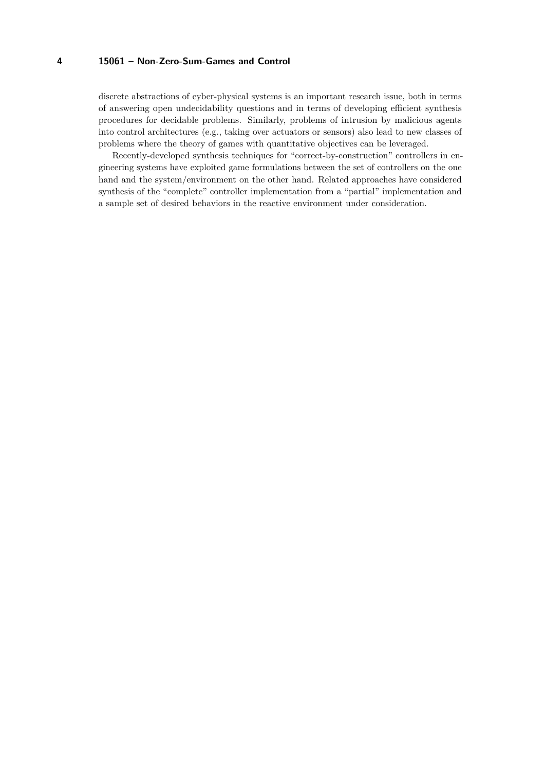discrete abstractions of cyber-physical systems is an important research issue, both in terms of answering open undecidability questions and in terms of developing efficient synthesis procedures for decidable problems. Similarly, problems of intrusion by malicious agents into control architectures (e.g., taking over actuators or sensors) also lead to new classes of problems where the theory of games with quantitative objectives can be leveraged.

Recently-developed synthesis techniques for "correct-by-construction" controllers in engineering systems have exploited game formulations between the set of controllers on the one hand and the system/environment on the other hand. Related approaches have considered synthesis of the "complete" controller implementation from a "partial" implementation and a sample set of desired behaviors in the reactive environment under consideration.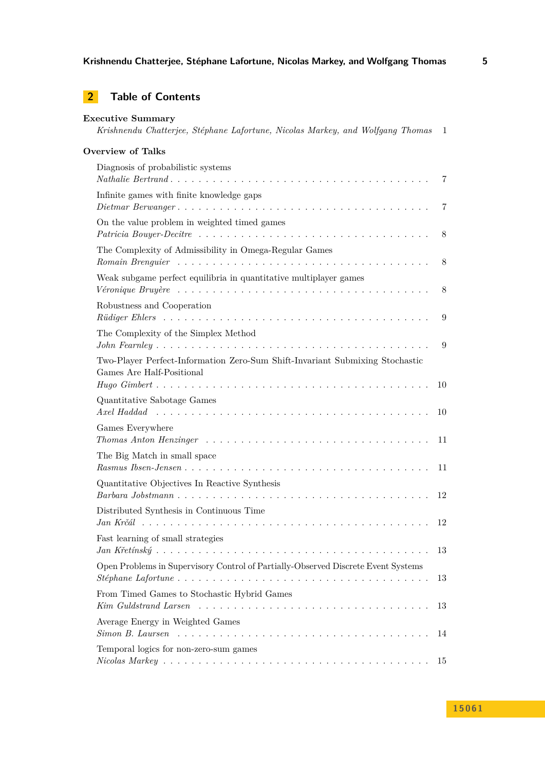# **2 Table of Contents**

| <b>Executive Summary</b><br>Krishnendu Chatterjee, Stéphane Lafortune, Nicolas Markey, and Wolfgang Thomas<br>1                                                                                                                                                                          |    |  |
|------------------------------------------------------------------------------------------------------------------------------------------------------------------------------------------------------------------------------------------------------------------------------------------|----|--|
| <b>Overview of Talks</b>                                                                                                                                                                                                                                                                 |    |  |
| Diagnosis of probabilistic systems                                                                                                                                                                                                                                                       | 7  |  |
| Infinite games with finite knowledge gaps                                                                                                                                                                                                                                                | 7  |  |
| On the value problem in weighted timed games                                                                                                                                                                                                                                             | 8  |  |
| The Complexity of Admissibility in Omega-Regular Games<br>Romain Brenguier research resources resources resources resources resources resources resources resources resources resources resources resources resources resources resources resources resources resources resources resour | 8  |  |
| Weak subgame perfect equilibria in quantitative multiplayer games                                                                                                                                                                                                                        | 8  |  |
| Robustness and Cooperation                                                                                                                                                                                                                                                               | 9  |  |
| The Complexity of the Simplex Method                                                                                                                                                                                                                                                     | 9  |  |
| Two-Player Perfect-Information Zero-Sum Shift-Invariant Submixing Stochastic<br>Games Are Half-Positional                                                                                                                                                                                | 10 |  |
| Quantitative Sabotage Games                                                                                                                                                                                                                                                              | 10 |  |
| Games Everywhere                                                                                                                                                                                                                                                                         | 11 |  |
| The Big Match in small space                                                                                                                                                                                                                                                             | 11 |  |
| Quantitative Objectives In Reactive Synthesis                                                                                                                                                                                                                                            | 12 |  |
| Distributed Synthesis in Continuous Time                                                                                                                                                                                                                                                 | 12 |  |
| Fast learning of small strategies                                                                                                                                                                                                                                                        | 13 |  |
| Open Problems in Supervisory Control of Partially-Observed Discrete Event Systems                                                                                                                                                                                                        | 13 |  |
| From Timed Games to Stochastic Hybrid Games<br>$Kim$ Guldstrand Larsen $\ldots \ldots \ldots \ldots \ldots \ldots \ldots \ldots \ldots \ldots \ldots$                                                                                                                                    | 13 |  |
| Average Energy in Weighted Games<br>$Simon B.$ Laursen $\ldots \ldots \ldots \ldots \ldots \ldots \ldots \ldots \ldots \ldots \ldots \ldots$                                                                                                                                             | 14 |  |
| Temporal logics for non-zero-sum games<br>$\textit{Nicolas } \textit{Markey } \dots \dots \dots \dots \dots \dots \dots \dots \dots \dots \dots \dots \dots \dots \dots \dots$                                                                                                           | 15 |  |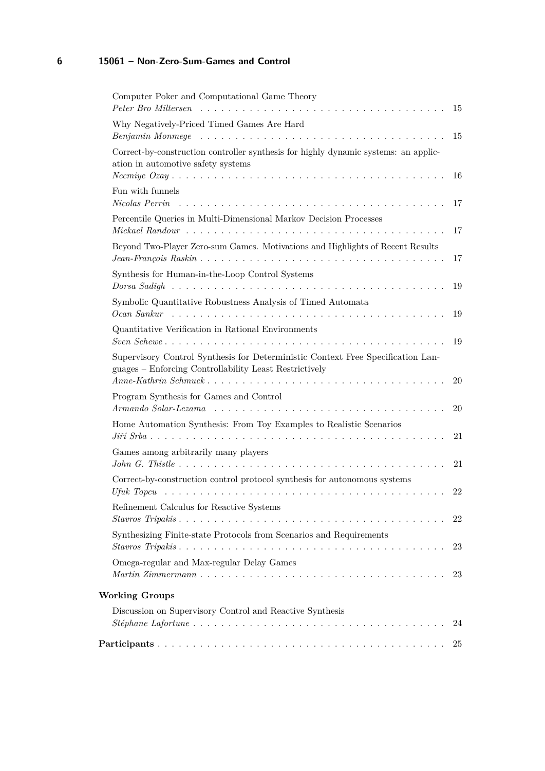| Computer Poker and Computational Game Theory                                                                                              | 15  |
|-------------------------------------------------------------------------------------------------------------------------------------------|-----|
| Why Negatively-Priced Timed Games Are Hard                                                                                                |     |
|                                                                                                                                           | 15  |
| Correct-by-construction controller synthesis for highly dynamic systems: an applic-<br>ation in automotive safety systems                 | -16 |
| Fun with funnels<br>Nicolas Perrin                                                                                                        | 17  |
| Percentile Queries in Multi-Dimensional Markov Decision Processes                                                                         | 17  |
| Beyond Two-Player Zero-sum Games. Motivations and Highlights of Recent Results                                                            | 17  |
| Synthesis for Human-in-the-Loop Control Systems                                                                                           | 19  |
| Symbolic Quantitative Robustness Analysis of Timed Automata                                                                               | 19  |
| Quantitative Verification in Rational Environments                                                                                        | 19  |
| Supervisory Control Synthesis for Deterministic Context Free Specification Lan-<br>guages - Enforcing Controllability Least Restrictively | 20  |
| Program Synthesis for Games and Control                                                                                                   | 20  |
| Home Automation Synthesis: From Toy Examples to Realistic Scenarios                                                                       | 21  |
| Games among arbitrarily many players                                                                                                      | 21  |
| Correct-by-construction control protocol synthesis for autonomous systems                                                                 | 22  |
| Refinement Calculus for Reactive Systems                                                                                                  | 22  |
| Synthesizing Finite-state Protocols from Scenarios and Requirements                                                                       | 23  |
| Omega-regular and Max-regular Delay Games                                                                                                 | 23  |
| <b>Working Groups</b>                                                                                                                     |     |
| Discussion on Supervisory Control and Reactive Synthesis                                                                                  | 24  |
|                                                                                                                                           |     |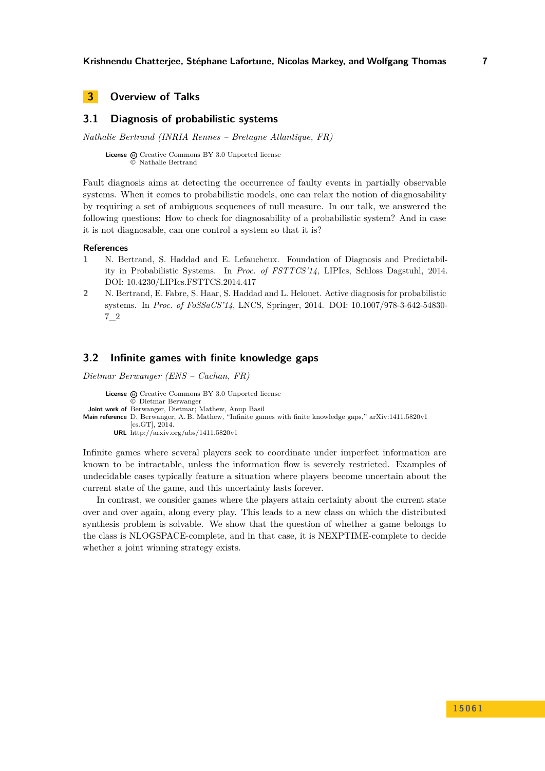# <span id="page-6-0"></span>**3 Overview of Talks**

## <span id="page-6-1"></span>**3.1 Diagnosis of probabilistic systems**

*Nathalie Bertrand (INRIA Rennes – Bretagne Atlantique, FR)*

License  $\textcircled{c}$  [Creative Commons BY 3.0 Unported](http://creativecommons.org/licenses/by/3.0/) license © [Nathalie Bertrand](#page-6-1)

Fault diagnosis aims at detecting the occurrence of faulty events in partially observable systems. When it comes to probabilistic models, one can relax the notion of diagnosability by requiring a set of ambiguous sequences of null measure. In our talk, we answered the following questions: How to check for diagnosability of a probabilistic system? And in case it is not diagnosable, can one control a system so that it is?

#### **References**

- **1** N. Bertrand, S. Haddad and E. Lefaucheux. Foundation of Diagnosis and Predictability in Probabilistic Systems. In *Proc. of FSTTCS'14*, LIPIcs, Schloss Dagstuhl, 2014. [DOI: 10.4230/LIPIcs.FSTTCS.2014.417](http://dx.doi.org/10.4230/LIPIcs.FSTTCS.2014.417)
- **2** N. Bertrand, E. Fabre, S. Haar, S. Haddad and L. Helouet. Active diagnosis for probabilistic systems. In *Proc. of FoSSaCS'14*, LNCS, Springer, 2014. [DOI: 10.1007/978-3-642-54830-](http://dx.doi.org/10.1007/978-3-642-54830-7_2) [7\\_2](http://dx.doi.org/10.1007/978-3-642-54830-7_2)

## <span id="page-6-2"></span>**3.2 Infinite games with finite knowledge gaps**

*Dietmar Berwanger (ENS – Cachan, FR)*

License  $\textcircled{c}$  [Creative Commons BY 3.0 Unported](http://creativecommons.org/licenses/by/3.0/) license © [Dietmar Berwanger](#page-6-2) **Joint work of** Berwanger, Dietmar; Mathew, Anup Basil **Main reference** [D. Berwanger, A. B. Mathew, "Infinite games with finite knowledge gaps," arXiv:1411.5820v1](http://arxiv.org/abs/1411.5820v1) [\[cs.GT\], 2014.](http://arxiv.org/abs/1411.5820v1) **URL** <http://arxiv.org/abs/1411.5820v1>

Infinite games where several players seek to coordinate under imperfect information are known to be intractable, unless the information flow is severely restricted. Examples of undecidable cases typically feature a situation where players become uncertain about the current state of the game, and this uncertainty lasts forever.

In contrast, we consider games where the players attain certainty about the current state over and over again, along every play. This leads to a new class on which the distributed synthesis problem is solvable. We show that the question of whether a game belongs to the class is NLOGSPACE-complete, and in that case, it is NEXPTIME-complete to decide whether a joint winning strategy exists.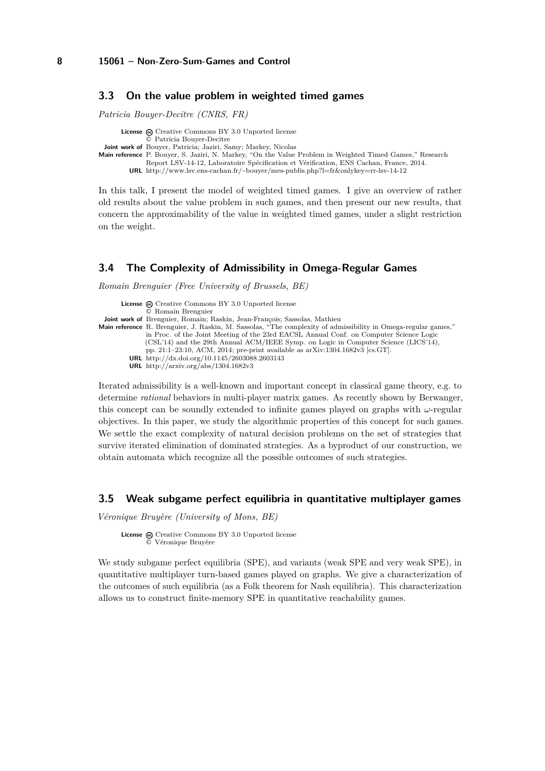#### <span id="page-7-0"></span>**3.3 On the value problem in weighted timed games**

*Patricia Bouyer-Decitre (CNRS, FR)*

**License**  $\bigoplus$  [Creative Commons BY 3.0 Unported](http://creativecommons.org/licenses/by/3.0/) license © [Patricia Bouyer-Decitre](#page-7-0) **Joint work of** Bouyer, Patricia; Jaziri, Samy; Markey, Nicolas **Main reference** [P. Bouyer, S. Jaziri, N. Markey, "On the Value Problem in Weighted Timed Games," Research](http://www.lsv.ens-cachan.fr/~bouyer/mes-publis.php?l=fr&onlykey=rr-lsv-14-12) [Report LSV-14-12, Laboratoire Spécification et Vérification, ENS Cachan, France, 2014.](http://www.lsv.ens-cachan.fr/~bouyer/mes-publis.php?l=fr&onlykey=rr-lsv-14-12) **URL** <http://www.lsv.ens-cachan.fr/~bouyer/mes-publis.php?l=fr&onlykey=rr-lsv-14-12>

In this talk, I present the model of weighted timed games. I give an overview of rather old results about the value problem in such games, and then present our new results, that concern the approximability of the value in weighted timed games, under a slight restriction on the weight.

## <span id="page-7-1"></span>**3.4 The Complexity of Admissibility in Omega-Regular Games**

*Romain Brenguier (Free University of Brussels, BE)*

| <b>License</b> $\omega$ Creative Commons BY 3.0 Unported license<br>© Romain Brenguier                                |
|-----------------------------------------------------------------------------------------------------------------------|
| <b>Joint work of</b> Brenguier, Romain; Raskin, Jean-François; Sassolas, Mathieu                                      |
| <b>Main reference</b> R. Brenguier, J. Raskin, M. Sassolas, "The complexity of admissibility in Omega-regular games," |
| in Proc. of the Joint Meeting of the 23rd EACSL Annual Conf. on Computer Science Logic                                |
| (CSL'14) and the 29th Annual ACM/IEEE Symp. on Logic in Computer Science (LICS'14),                                   |
| pp. 21:1-23:10, ACM, 2014; pre-print available as $arXiv:1304.1682v3$ [cs.GT].                                        |
| URL http://dx.doi.org/10.1145/2603088.2603143                                                                         |
| <b>URL</b> http://arxiv.org/abs/1304.1682v3                                                                           |

Iterated admissibility is a well-known and important concept in classical game theory, e.g. to determine *rational* behaviors in multi-player matrix games. As recently shown by Berwanger, this concept can be soundly extended to infinite games played on graphs with *ω*-regular objectives. In this paper, we study the algorithmic properties of this concept for such games. We settle the exact complexity of natural decision problems on the set of strategies that survive iterated elimination of dominated strategies. As a byproduct of our construction, we obtain automata which recognize all the possible outcomes of such strategies.

# <span id="page-7-2"></span>**3.5 Weak subgame perfect equilibria in quantitative multiplayer games**

*Véronique Bruyère (University of Mons, BE)*

License  $\textcircled{c}$  [Creative Commons BY 3.0 Unported](http://creativecommons.org/licenses/by/3.0/) license © [Véronique Bruyère](#page-7-2)

We study subgame perfect equilibria (SPE), and variants (weak SPE and very weak SPE), in quantitative multiplayer turn-based games played on graphs. We give a characterization of the outcomes of such equilibria (as a Folk theorem for Nash equilibria). This characterization allows us to construct finite-memory SPE in quantitative reachability games.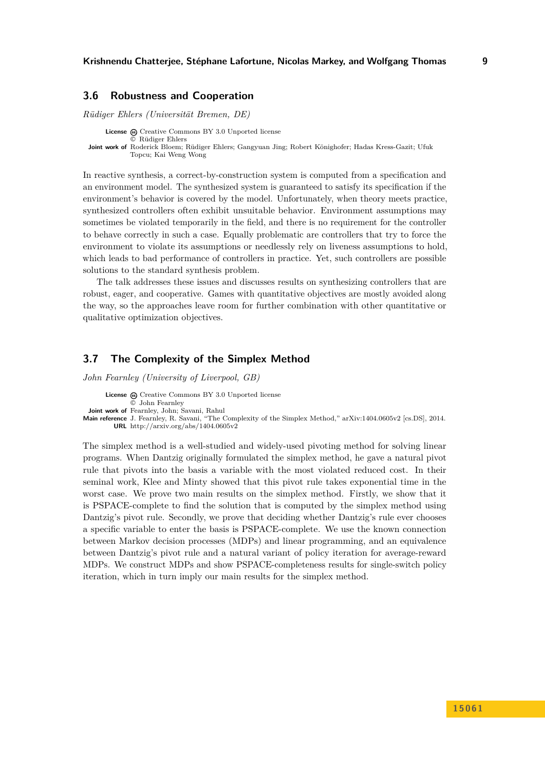## <span id="page-8-0"></span>**3.6 Robustness and Cooperation**

*Rüdiger Ehlers (Universität Bremen, DE)*

**License**  $\odot$  [Creative Commons BY 3.0 Unported](http://creativecommons.org/licenses/by/3.0/) license © [Rüdiger Ehlers](#page-8-0) **Joint work of** Roderick Bloem; Rüdiger Ehlers; Gangyuan Jing; Robert Könighofer; Hadas Kress-Gazit; Ufuk Topcu; Kai Weng Wong

In reactive synthesis, a correct-by-construction system is computed from a specification and an environment model. The synthesized system is guaranteed to satisfy its specification if the environment's behavior is covered by the model. Unfortunately, when theory meets practice, synthesized controllers often exhibit unsuitable behavior. Environment assumptions may sometimes be violated temporarily in the field, and there is no requirement for the controller to behave correctly in such a case. Equally problematic are controllers that try to force the environment to violate its assumptions or needlessly rely on liveness assumptions to hold, which leads to bad performance of controllers in practice. Yet, such controllers are possible solutions to the standard synthesis problem.

The talk addresses these issues and discusses results on synthesizing controllers that are robust, eager, and cooperative. Games with quantitative objectives are mostly avoided along the way, so the approaches leave room for further combination with other quantitative or qualitative optimization objectives.

# <span id="page-8-1"></span>**3.7 The Complexity of the Simplex Method**

*John Fearnley (University of Liverpool, GB)*

**License**  $\odot$  [Creative Commons BY 3.0 Unported](http://creativecommons.org/licenses/by/3.0/) license © [John Fearnley](#page-8-1) **Joint work of** Fearnley, John; Savani, Rahul **Main reference** [J. Fearnley, R. Savani, "The Complexity of the Simplex Method," arXiv:1404.0605v2 \[cs.DS\], 2014.](http://arxiv.org/abs/1404.0605v2) **URL** <http://arxiv.org/abs/1404.0605v2>

The simplex method is a well-studied and widely-used pivoting method for solving linear programs. When Dantzig originally formulated the simplex method, he gave a natural pivot rule that pivots into the basis a variable with the most violated reduced cost. In their seminal work, Klee and Minty showed that this pivot rule takes exponential time in the worst case. We prove two main results on the simplex method. Firstly, we show that it is PSPACE-complete to find the solution that is computed by the simplex method using Dantzig's pivot rule. Secondly, we prove that deciding whether Dantzig's rule ever chooses a specific variable to enter the basis is PSPACE-complete. We use the known connection between Markov decision processes (MDPs) and linear programming, and an equivalence between Dantzig's pivot rule and a natural variant of policy iteration for average-reward MDPs. We construct MDPs and show PSPACE-completeness results for single-switch policy iteration, which in turn imply our main results for the simplex method.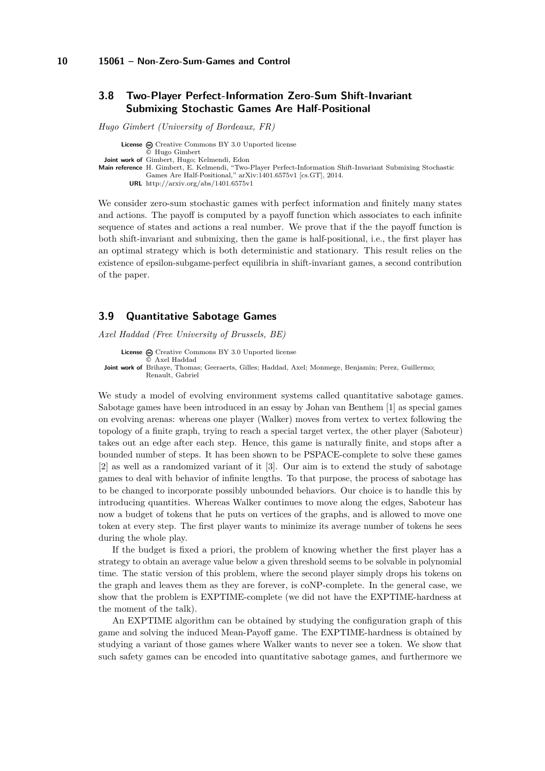## <span id="page-9-0"></span>**3.8 Two-Player Perfect-Information Zero-Sum Shift-Invariant Submixing Stochastic Games Are Half-Positional**

*Hugo Gimbert (University of Bordeaux, FR)*

License  $\textcircled{c}$  [Creative Commons BY 3.0 Unported](http://creativecommons.org/licenses/by/3.0/) license © [Hugo Gimbert](#page-9-0) **Joint work of** Gimbert, Hugo; Kelmendi, Edon **Main reference** [H. Gimbert, E. Kelmendi, "Two-Player Perfect-Information Shift-Invariant Submixing Stochastic](http://arxiv.org/abs/1401.6575v1) [Games Are Half-Positional," arXiv:1401.6575v1 \[cs.GT\], 2014.](http://arxiv.org/abs/1401.6575v1) **URL** <http://arxiv.org/abs/1401.6575v1>

We consider zero-sum stochastic games with perfect information and finitely many states and actions. The payoff is computed by a payoff function which associates to each infinite sequence of states and actions a real number. We prove that if the the payoff function is both shift-invariant and submixing, then the game is half-positional, i.e., the first player has an optimal strategy which is both deterministic and stationary. This result relies on the existence of epsilon-subgame-perfect equilibria in shift-invariant games, a second contribution of the paper.

# <span id="page-9-1"></span>**3.9 Quantitative Sabotage Games**

*Axel Haddad (Free University of Brussels, BE)*

License @ [Creative Commons BY 3.0 Unported](http://creativecommons.org/licenses/by/3.0/) license © [Axel Haddad](#page-9-1) **Joint work of** Brihaye, Thomas; Geeraerts, Gilles; Haddad, Axel; Monmege, Benjamin; Perez, Guillermo; Renault, Gabriel

We study a model of evolving environment systems called quantitative sabotage games. Sabotage games have been introduced in an essay by Johan van Benthem [\[1\]](#page-10-2) as special games on evolving arenas: whereas one player (Walker) moves from vertex to vertex following the topology of a finite graph, trying to reach a special target vertex, the other player (Saboteur) takes out an edge after each step. Hence, this game is naturally finite, and stops after a bounded number of steps. It has been shown to be PSPACE-complete to solve these games [\[2\]](#page-10-3) as well as a randomized variant of it [\[3\]](#page-10-4). Our aim is to extend the study of sabotage games to deal with behavior of infinite lengths. To that purpose, the process of sabotage has to be changed to incorporate possibly unbounded behaviors. Our choice is to handle this by introducing quantities. Whereas Walker continues to move along the edges, Saboteur has now a budget of tokens that he puts on vertices of the graphs, and is allowed to move one token at every step. The first player wants to minimize its average number of tokens he sees during the whole play.

If the budget is fixed a priori, the problem of knowing whether the first player has a strategy to obtain an average value below a given threshold seems to be solvable in polynomial time. The static version of this problem, where the second player simply drops his tokens on the graph and leaves them as they are forever, is coNP-complete. In the general case, we show that the problem is EXPTIME-complete (we did not have the EXPTIME-hardness at the moment of the talk).

An EXPTIME algorithm can be obtained by studying the configuration graph of this game and solving the induced Mean-Payoff game. The EXPTIME-hardness is obtained by studying a variant of those games where Walker wants to never see a token. We show that such safety games can be encoded into quantitative sabotage games, and furthermore we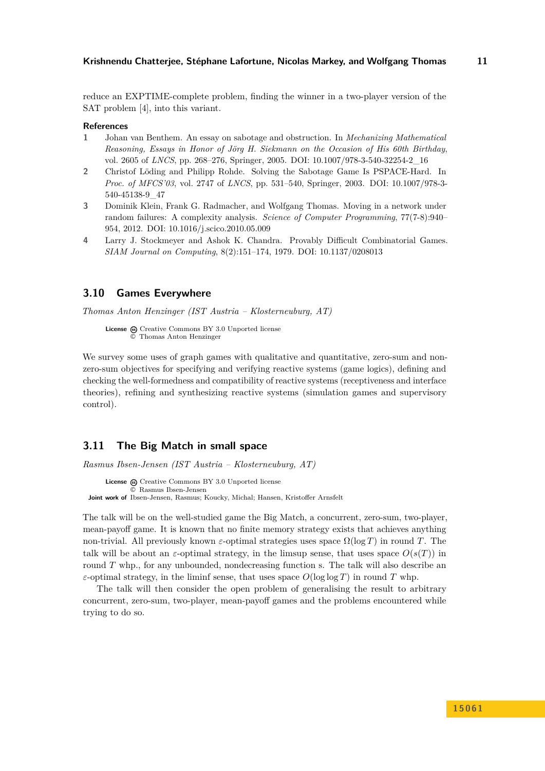reduce an EXPTIME-complete problem, finding the winner in a two-player version of the SAT problem [\[4\]](#page-10-5), into this variant.

#### **References**

- <span id="page-10-2"></span>**1** Johan van Benthem. An essay on sabotage and obstruction. In *Mechanizing Mathematical Reasoning, Essays in Honor of Jörg H. Siekmann on the Occasion of His 60th Birthday*, vol. 2605 of *LNCS*, pp. 268–276, Springer, 2005. [DOI: 10.1007/978-3-540-32254-2\\_16](http://dx.doi.org/10.1007/978-3-540-32254-2_16)
- <span id="page-10-3"></span>**2** Christof Löding and Philipp Rohde. Solving the Sabotage Game Is PSPACE-Hard. In *Proc. of MFCS'03*, vol. 2747 of *LNCS*, pp. 531–540, Springer, 2003. [DOI: 10.1007/978-3-](http://dx.doi.org/10.1007/978-3-540-45138-9_47) [540-45138-9\\_47](http://dx.doi.org/10.1007/978-3-540-45138-9_47)
- <span id="page-10-4"></span>**3** Dominik Klein, Frank G. Radmacher, and Wolfgang Thomas. Moving in a network under random failures: A complexity analysis. *Science of Computer Programming*, 77(7-8):940– 954, 2012. [DOI: 10.1016/j.scico.2010.05.009](http://dx.doi.org/10.1016/j.scico.2010.05.009)
- <span id="page-10-5"></span>**4** Larry J. Stockmeyer and Ashok K. Chandra. Provably Difficult Combinatorial Games. *SIAM Journal on Computing*, 8(2):151–174, 1979. [DOI: 10.1137/0208013](http://dx.doi.org/10.1137/0208013)

## <span id="page-10-0"></span>**3.10 Games Everywhere**

*Thomas Anton Henzinger (IST Austria – Klosterneuburg, AT)*

License  $\omega$  [Creative Commons BY 3.0 Unported](http://creativecommons.org/licenses/by/3.0/) license © [Thomas Anton Henzinger](#page-10-0)

We survey some uses of graph games with qualitative and quantitative, zero-sum and nonzero-sum objectives for specifying and verifying reactive systems (game logics), defining and checking the well-formedness and compatibility of reactive systems (receptiveness and interface theories), refining and synthesizing reactive systems (simulation games and supervisory control).

## <span id="page-10-1"></span>**3.11 The Big Match in small space**

*Rasmus Ibsen-Jensen (IST Austria – Klosterneuburg, AT)*

License  $\textcircled{c}$  [Creative Commons BY 3.0 Unported](http://creativecommons.org/licenses/by/3.0/) license © [Rasmus Ibsen-Jensen](#page-10-1) **Joint work of** Ibsen-Jensen, Rasmus; Koucky, Michal; Hansen, Kristoffer Arnsfelt

The talk will be on the well-studied game the Big Match, a concurrent, zero-sum, two-player, mean-payoff game. It is known that no finite memory strategy exists that achieves anything non-trivial. All previously known *ε*-optimal strategies uses space  $\Omega(\log T)$  in round *T*. The talk will be about an  $\varepsilon$ -optimal strategy, in the limsup sense, that uses space  $O(s(T))$  in round *T* whp., for any unbounded, nondecreasing function s. The talk will also describe an *ε*-optimal strategy, in the liminf sense, that uses space  $O(\log \log T)$  in round *T* whp.

The talk will then consider the open problem of generalising the result to arbitrary concurrent, zero-sum, two-player, mean-payoff games and the problems encountered while trying to do so.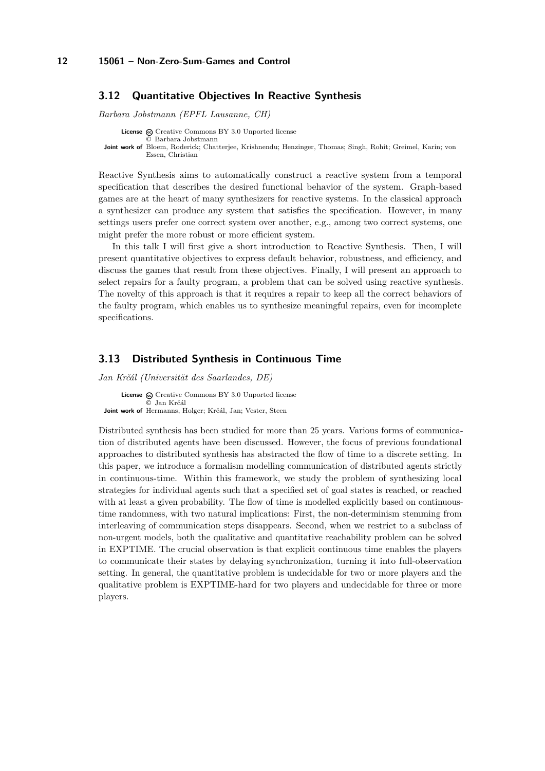## <span id="page-11-0"></span>**3.12 Quantitative Objectives In Reactive Synthesis**

*Barbara Jobstmann (EPFL Lausanne, CH)*

**License**  $\textcircled{c}$  [Creative Commons BY 3.0 Unported](http://creativecommons.org/licenses/by/3.0/) license © [Barbara Jobstmann](#page-11-0) **Joint work of** Bloem, Roderick; Chatterjee, Krishnendu; Henzinger, Thomas; Singh, Rohit; Greimel, Karin; von Essen, Christian

Reactive Synthesis aims to automatically construct a reactive system from a temporal specification that describes the desired functional behavior of the system. Graph-based games are at the heart of many synthesizers for reactive systems. In the classical approach a synthesizer can produce any system that satisfies the specification. However, in many settings users prefer one correct system over another, e.g., among two correct systems, one might prefer the more robust or more efficient system.

In this talk I will first give a short introduction to Reactive Synthesis. Then, I will present quantitative objectives to express default behavior, robustness, and efficiency, and discuss the games that result from these objectives. Finally, I will present an approach to select repairs for a faulty program, a problem that can be solved using reactive synthesis. The novelty of this approach is that it requires a repair to keep all the correct behaviors of the faulty program, which enables us to synthesize meaningful repairs, even for incomplete specifications.

## <span id="page-11-1"></span>**3.13 Distributed Synthesis in Continuous Time**

*Jan Krčál (Universität des Saarlandes, DE)*

License  $\textcircled{c}$  [Creative Commons BY 3.0 Unported](http://creativecommons.org/licenses/by/3.0/) license © [Jan Krčál](#page-11-1) **Joint work of** Hermanns, Holger; Krčál, Jan; Vester, Steen

Distributed synthesis has been studied for more than 25 years. Various forms of communication of distributed agents have been discussed. However, the focus of previous foundational approaches to distributed synthesis has abstracted the flow of time to a discrete setting. In this paper, we introduce a formalism modelling communication of distributed agents strictly in continuous-time. Within this framework, we study the problem of synthesizing local strategies for individual agents such that a specified set of goal states is reached, or reached with at least a given probability. The flow of time is modelled explicitly based on continuoustime randomness, with two natural implications: First, the non-determinism stemming from interleaving of communication steps disappears. Second, when we restrict to a subclass of non-urgent models, both the qualitative and quantitative reachability problem can be solved in EXPTIME. The crucial observation is that explicit continuous time enables the players to communicate their states by delaying synchronization, turning it into full-observation setting. In general, the quantitative problem is undecidable for two or more players and the qualitative problem is EXPTIME-hard for two players and undecidable for three or more players.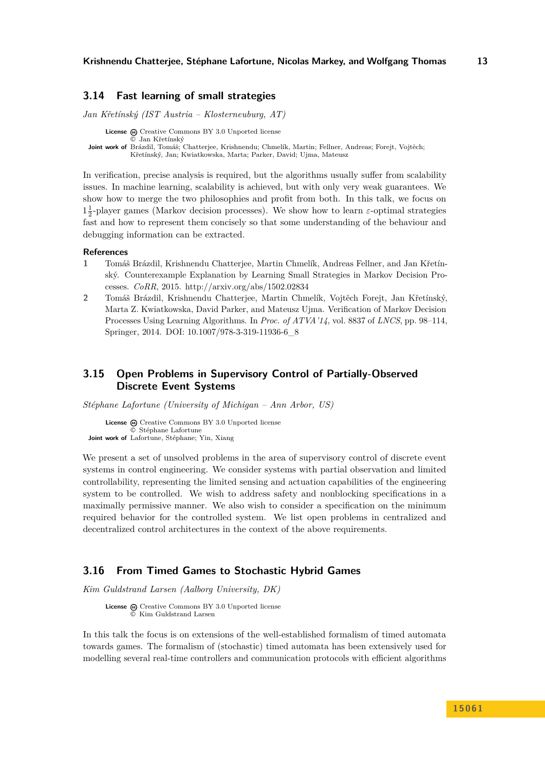#### <span id="page-12-0"></span>**3.14 Fast learning of small strategies**

*Jan Křetínský (IST Austria – Klosterneuburg, AT)*

**License**  $\textcircled{e}$  [Creative Commons BY 3.0 Unported](http://creativecommons.org/licenses/by/3.0/) license © [Jan Křetínský](#page-12-0) **Joint work of** Brázdil, Tomáš; Chatterjee, Krishnendu; Chmelík, Martin; Fellner, Andreas; Forejt, Vojtěch; Křetínský, Jan; Kwiatkowska, Marta; Parker, David; Ujma, Mateusz

In verification, precise analysis is required, but the algorithms usually suffer from scalability issues. In machine learning, scalability is achieved, but with only very weak guarantees. We show how to merge the two philosophies and profit from both. In this talk, we focus on  $1\frac{1}{2}$ -player games (Markov decision processes). We show how to learn  $\varepsilon$ -optimal strategies fast and how to represent them concisely so that some understanding of the behaviour and debugging information can be extracted.

#### **References**

- **1** Tomáš Brázdil, Krishnendu Chatterjee, Martin Chmelík, Andreas Fellner, and Jan Křetínský. Counterexample Explanation by Learning Small Strategies in Markov Decision Processes. *CoRR*, 2015.<http://arxiv.org/abs/1502.02834>
- **2** Tomáš Brázdil, Krishnendu Chatterjee, Martin Chmelík, Vojtěch Forejt, Jan Křetínský, Marta Z. Kwiatkowska, David Parker, and Mateusz Ujma. Verification of Markov Decision Processes Using Learning Algorithms. In *Proc. of ATVA'14*, vol. 8837 of *LNCS*, pp. 98–114, Springer, 2014. [DOI: 10.1007/978-3-319-11936-6\\_8](http://dx.doi.org/10.1007/978-3-319-11936-6_8)

# <span id="page-12-1"></span>**3.15 Open Problems in Supervisory Control of Partially-Observed Discrete Event Systems**

*Stéphane Lafortune (University of Michigan – Ann Arbor, US)*

**License**  $\textcircled{c}$  [Creative Commons BY 3.0 Unported](http://creativecommons.org/licenses/by/3.0/) license © [Stéphane Lafortune](#page-12-1) **Joint work of** Lafortune, Stéphane; Yin, Xiang

We present a set of unsolved problems in the area of supervisory control of discrete event systems in control engineering. We consider systems with partial observation and limited controllability, representing the limited sensing and actuation capabilities of the engineering system to be controlled. We wish to address safety and nonblocking specifications in a maximally permissive manner. We also wish to consider a specification on the minimum required behavior for the controlled system. We list open problems in centralized and decentralized control architectures in the context of the above requirements.

## <span id="page-12-2"></span>**3.16 From Timed Games to Stochastic Hybrid Games**

*Kim Guldstrand Larsen (Aalborg University, DK)*

License  $\textcircled{c}$  [Creative Commons BY 3.0 Unported](http://creativecommons.org/licenses/by/3.0/) license © [Kim Guldstrand Larsen](#page-12-2)

In this talk the focus is on extensions of the well-established formalism of timed automata towards games. The formalism of (stochastic) timed automata has been extensively used for modelling several real-time controllers and communication protocols with efficient algorithms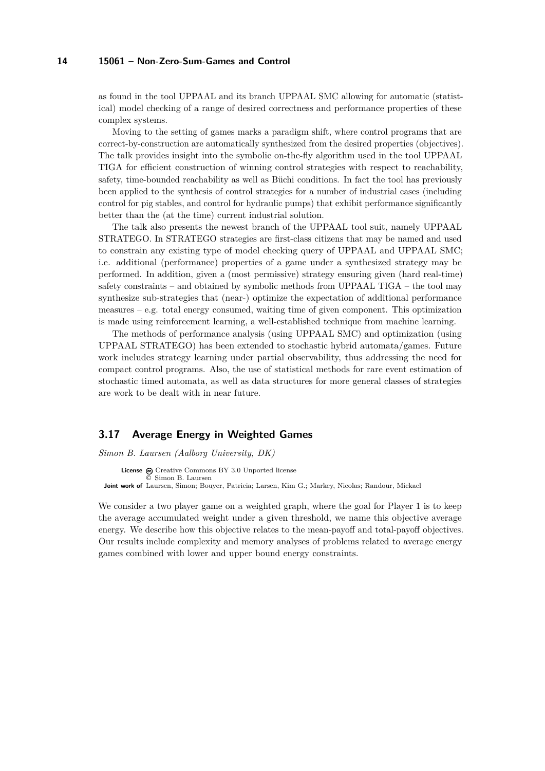as found in the tool UPPAAL and its branch UPPAAL SMC allowing for automatic (statistical) model checking of a range of desired correctness and performance properties of these complex systems.

Moving to the setting of games marks a paradigm shift, where control programs that are correct-by-construction are automatically synthesized from the desired properties (objectives). The talk provides insight into the symbolic on-the-fly algorithm used in the tool UPPAAL TIGA for efficient construction of winning control strategies with respect to reachability, safety, time-bounded reachability as well as Büchi conditions. In fact the tool has previously been applied to the synthesis of control strategies for a number of industrial cases (including control for pig stables, and control for hydraulic pumps) that exhibit performance significantly better than the (at the time) current industrial solution.

The talk also presents the newest branch of the UPPAAL tool suit, namely UPPAAL STRATEGO. In STRATEGO strategies are first-class citizens that may be named and used to constrain any existing type of model checking query of UPPAAL and UPPAAL SMC; i.e. additional (performance) properties of a game under a synthesized strategy may be performed. In addition, given a (most permissive) strategy ensuring given (hard real-time) safety constraints – and obtained by symbolic methods from UPPAAL TIGA – the tool may synthesize sub-strategies that (near-) optimize the expectation of additional performance measures – e.g. total energy consumed, waiting time of given component. This optimization is made using reinforcement learning, a well-established technique from machine learning.

The methods of performance analysis (using UPPAAL SMC) and optimization (using UPPAAL STRATEGO) has been extended to stochastic hybrid automata/games. Future work includes strategy learning under partial observability, thus addressing the need for compact control programs. Also, the use of statistical methods for rare event estimation of stochastic timed automata, as well as data structures for more general classes of strategies are work to be dealt with in near future.

## <span id="page-13-0"></span>**3.17 Average Energy in Weighted Games**

*Simon B. Laursen (Aalborg University, DK)*

License  $\textcircled{c}$  [Creative Commons BY 3.0 Unported](http://creativecommons.org/licenses/by/3.0/) license © [Simon B. Laursen](#page-13-0) **Joint work of** Laursen, Simon; Bouyer, Patricia; Larsen, Kim G.; Markey, Nicolas; Randour, Mickael

We consider a two player game on a weighted graph, where the goal for Player 1 is to keep the average accumulated weight under a given threshold, we name this objective average energy. We describe how this objective relates to the mean-payoff and total-payoff objectives. Our results include complexity and memory analyses of problems related to average energy games combined with lower and upper bound energy constraints.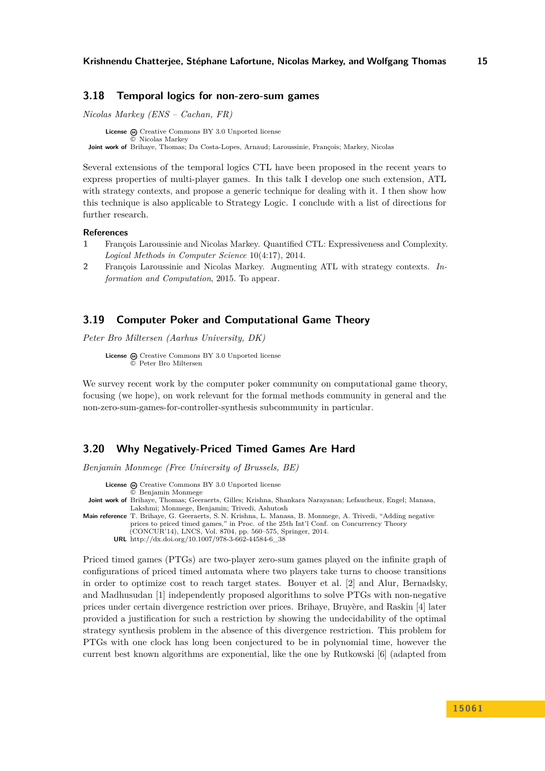## <span id="page-14-0"></span>**3.18 Temporal logics for non-zero-sum games**

*Nicolas Markey (ENS – Cachan, FR)*

**License**  $\bigoplus$  [Creative Commons BY 3.0 Unported](http://creativecommons.org/licenses/by/3.0/) license © [Nicolas Markey](#page-14-0) **Joint work of** Brihaye, Thomas; Da Costa-Lopes, Arnaud; Laroussinie, François; Markey, Nicolas

Several extensions of the temporal logics CTL have been proposed in the recent years to express properties of multi-player games. In this talk I develop one such extension, ATL with strategy contexts, and propose a generic technique for dealing with it. I then show how this technique is also applicable to Strategy Logic. I conclude with a list of directions for further research.

#### **References**

- **1** François Laroussinie and Nicolas Markey. Quantified CTL: Expressiveness and Complexity. *Logical Methods in Computer Science* 10(4:17), 2014.
- **2** François Laroussinie and Nicolas Markey. Augmenting ATL with strategy contexts. *Information and Computation*, 2015. To appear.

## <span id="page-14-1"></span>**3.19 Computer Poker and Computational Game Theory**

*Peter Bro Miltersen (Aarhus University, DK)*

**License**  $\textcircled{e}$  [Creative Commons BY 3.0 Unported](http://creativecommons.org/licenses/by/3.0/) license © [Peter Bro Miltersen](#page-14-1)

We survey recent work by the computer poker community on computational game theory, focusing (we hope), on work relevant for the formal methods community in general and the non-zero-sum-games-for-controller-synthesis subcommunity in particular.

## <span id="page-14-2"></span>**3.20 Why Negatively-Priced Timed Games Are Hard**

*Benjamin Monmege (Free University of Brussels, BE)*

License  $\textcircled{a}$  [Creative Commons BY 3.0 Unported](http://creativecommons.org/licenses/by/3.0/) license

© [Benjamin Monmege](#page-14-2)

- **Joint work of** Brihaye, Thomas; Geeraerts, Gilles; Krishna, Shankara Narayanan; Lefaucheux, Engel; Manasa, Lakshmi; Monmege, Benjamin; Trivedi, Ashutosh
- **Main reference** [T. Brihaye, G. Geeraerts, S. N. Krishna, L. Manasa, B. Monmege, A. Trivedi, "Adding negative](http://dx.doi.org/10.1007/978-3-662-44584-6_38) [prices to priced timed games," in Proc. of the 25th Int'l Conf. on Concurrency Theory](http://dx.doi.org/10.1007/978-3-662-44584-6_38)
	- [\(CONCUR'14\), LNCS, Vol. 8704, pp. 560–575, Springer, 2014.](http://dx.doi.org/10.1007/978-3-662-44584-6_38)
	- **URL** [http://dx.doi.org/10.1007/978-3-662-44584-6\\_38](http://dx.doi.org/10.1007/978-3-662-44584-6_38)

Priced timed games (PTGs) are two-player zero-sum games played on the infinite graph of configurations of priced timed automata where two players take turns to choose transitions in order to optimize cost to reach target states. Bouyer et al. [\[2\]](#page-15-1) and Alur, Bernadsky, and Madhusudan [\[1\]](#page-15-2) independently proposed algorithms to solve PTGs with non-negative prices under certain divergence restriction over prices. Brihaye, Bruyère, and Raskin [\[4\]](#page-15-3) later provided a justification for such a restriction by showing the undecidability of the optimal strategy synthesis problem in the absence of this divergence restriction. This problem for PTGs with one clock has long been conjectured to be in polynomial time, however the current best known algorithms are exponential, like the one by Rutkowski [\[6\]](#page-15-4) (adapted from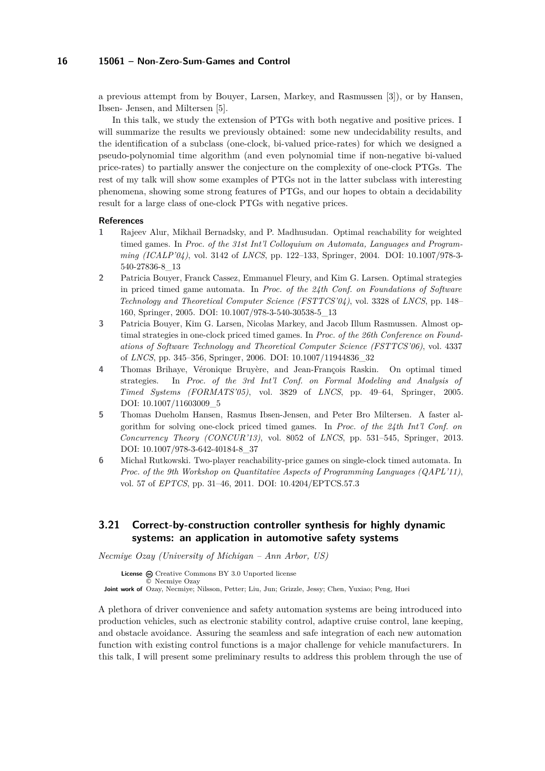a previous attempt from by Bouyer, Larsen, Markey, and Rasmussen [\[3\]](#page-15-5)), or by Hansen, Ibsen- Jensen, and Miltersen [\[5\]](#page-15-6).

In this talk, we study the extension of PTGs with both negative and positive prices. I will summarize the results we previously obtained: some new undecidability results, and the identification of a subclass (one-clock, bi-valued price-rates) for which we designed a pseudo-polynomial time algorithm (and even polynomial time if non-negative bi-valued price-rates) to partially answer the conjecture on the complexity of one-clock PTGs. The rest of my talk will show some examples of PTGs not in the latter subclass with interesting phenomena, showing some strong features of PTGs, and our hopes to obtain a decidability result for a large class of one-clock PTGs with negative prices.

#### **References**

- <span id="page-15-2"></span>**1** Rajeev Alur, Mikhail Bernadsky, and P. Madhusudan. Optimal reachability for weighted timed games. In *Proc. of the 31st Int'l Colloquium on Automata, Languages and Programming (ICALP'04)*, vol. 3142 of *LNCS*, pp. 122–133, Springer, 2004. [DOI: 10.1007/978-3-](http://dx.doi.org/10.1007/978-3-540-27836-8_13) [540-27836-8\\_13](http://dx.doi.org/10.1007/978-3-540-27836-8_13)
- <span id="page-15-1"></span>**2** Patricia Bouyer, Franck Cassez, Emmanuel Fleury, and Kim G. Larsen. Optimal strategies in priced timed game automata. In *Proc. of the 24th Conf. on Foundations of Software Technology and Theoretical Computer Science (FSTTCS'04)*, vol. 3328 of *LNCS*, pp. 148– 160, Springer, 2005. [DOI: 10.1007/978-3-540-30538-5\\_13](http://dx.doi.org/10.1007/978-3-540-30538-5_13)
- <span id="page-15-5"></span>**3** Patricia Bouyer, Kim G. Larsen, Nicolas Markey, and Jacob Illum Rasmussen. Almost optimal strategies in one-clock priced timed games. In *Proc. of the 26th Conference on Foundations of Software Technology and Theoretical Computer Science (FSTTCS'06)*, vol. 4337 of *LNCS*, pp. 345–356, Springer, 2006. [DOI: 10.1007/11944836\\_32](http://dx.doi.org/10.1007/11944836_32)
- <span id="page-15-3"></span>**4** Thomas Brihaye, Véronique Bruyère, and Jean-François Raskin. On optimal timed strategies. In *Proc. of the 3rd Int'l Conf. on Formal Modeling and Analysis of Timed Systems (FORMATS'05)*, vol. 3829 of *LNCS*, pp. 49–64, Springer, 2005. [DOI: 10.1007/11603009\\_5](http://dx.doi.org/10.1007/11603009_5)
- <span id="page-15-6"></span>**5** Thomas Dueholm Hansen, Rasmus Ibsen-Jensen, and Peter Bro Miltersen. A faster algorithm for solving one-clock priced timed games. In *Proc. of the 24th Int'l Conf. on Concurrency Theory (CONCUR'13)*, vol. 8052 of *LNCS*, pp. 531–545, Springer, 2013. [DOI: 10.1007/978-3-642-40184-8\\_37](http://dx.doi.org/10.1007/978-3-642-40184-8_37)
- <span id="page-15-4"></span>**6** Michał Rutkowski. Two-player reachability-price games on single-clock timed automata. In *Proc. of the 9th Workshop on Quantitative Aspects of Programming Languages (QAPL'11)*, vol. 57 of *EPTCS*, pp. 31–46, 2011. [DOI: 10.4204/EPTCS.57.3](http://dx.doi.org/10.4204/EPTCS.57.3)

# <span id="page-15-0"></span>**3.21 Correct-by-construction controller synthesis for highly dynamic systems: an application in automotive safety systems**

*Necmiye Ozay (University of Michigan – Ann Arbor, US)*

**License**  $\textcircled{c}$  [Creative Commons BY 3.0 Unported](http://creativecommons.org/licenses/by/3.0/) license © [Necmiye Ozay](#page-15-0) **Joint work of** Ozay, Necmiye; Nilsson, Petter; Liu, Jun; Grizzle, Jessy; Chen, Yuxiao; Peng, Huei

A plethora of driver convenience and safety automation systems are being introduced into production vehicles, such as electronic stability control, adaptive cruise control, lane keeping, and obstacle avoidance. Assuring the seamless and safe integration of each new automation function with existing control functions is a major challenge for vehicle manufacturers. In this talk, I will present some preliminary results to address this problem through the use of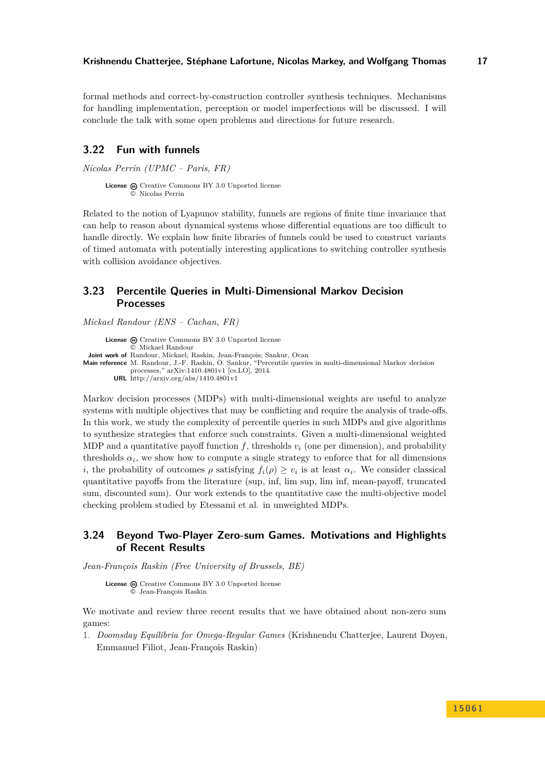formal methods and correct-by-construction controller synthesis techniques. Mechanisms for handling implementation, perception or model imperfections will be discussed. I will conclude the talk with some open problems and directions for future research.

## <span id="page-16-0"></span>**3.22 Fun with funnels**

*Nicolas Perrin (UPMC – Paris, FR)*

License  $\bigcirc$  [Creative Commons BY 3.0 Unported](http://creativecommons.org/licenses/by/3.0/) license © [Nicolas Perrin](#page-16-0)

Related to the notion of Lyapunov stability, funnels are regions of finite time invariance that can help to reason about dynamical systems whose differential equations are too difficult to handle directly. We explain how finite libraries of funnels could be used to construct variants of timed automata with potentially interesting applications to switching controller synthesis with collision avoidance objectives.

# <span id="page-16-1"></span>**3.23 Percentile Queries in Multi-Dimensional Markov Decision Processes**

*Mickael Randour (ENS – Cachan, FR)*

**License**  $\textcircled{c}$  [Creative Commons BY 3.0 Unported](http://creativecommons.org/licenses/by/3.0/) license © [Mickael Randour](#page-16-1) **Joint work of** Randour, Mickael; Raskin, Jean-François; Sankur, Ocan **Main reference** [M. Randour, J.-F. Raskin, O. Sankur, "Percentile queries in multi-dimensional Markov decision](http://arxiv.org/abs/1410.4801v1) [processes," arXiv:1410.4801v1 \[cs.LO\], 2014.](http://arxiv.org/abs/1410.4801v1) **URL** <http://arxiv.org/abs/1410.4801v1>

Markov decision processes (MDPs) with multi-dimensional weights are useful to analyze systems with multiple objectives that may be conflicting and require the analysis of trade-offs. In this work, we study the complexity of percentile queries in such MDPs and give algorithms to synthesize strategies that enforce such constraints. Given a multi-dimensional weighted MDP and a quantitative payoff function  $f$ , thresholds  $v_i$  (one per dimension), and probability thresholds  $\alpha_i$ , we show how to compute a single strategy to enforce that for all dimensions *i*, the probability of outcomes  $\rho$  satisfying  $f_i(\rho) \geq v_i$  is at least  $\alpha_i$ . We consider classical quantitative payoffs from the literature (sup, inf, lim sup, lim inf, mean-payoff, truncated sum, discounted sum). Our work extends to the quantitative case the multi-objective model checking problem studied by Etessami et al. in unweighted MDPs.

# <span id="page-16-2"></span>**3.24 Beyond Two-Player Zero-sum Games. Motivations and Highlights of Recent Results**

*Jean-François Raskin (Free University of Brussels, BE)*

License  $\textcircled{c}$  [Creative Commons BY 3.0 Unported](http://creativecommons.org/licenses/by/3.0/) license © [Jean-François Raskin](#page-16-2)

We motivate and review three recent results that we have obtained about non-zero sum games:

1. *Doomsday Equilibria for Omega-Regular Games* (Krishnendu Chatterjee, Laurent Doyen, Emmanuel Filiot, Jean-François Raskin)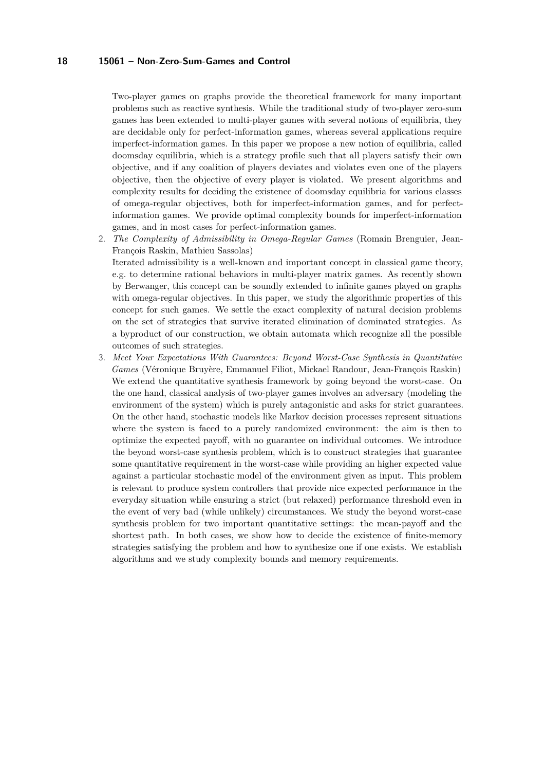Two-player games on graphs provide the theoretical framework for many important problems such as reactive synthesis. While the traditional study of two-player zero-sum games has been extended to multi-player games with several notions of equilibria, they are decidable only for perfect-information games, whereas several applications require imperfect-information games. In this paper we propose a new notion of equilibria, called doomsday equilibria, which is a strategy profile such that all players satisfy their own objective, and if any coalition of players deviates and violates even one of the players objective, then the objective of every player is violated. We present algorithms and complexity results for deciding the existence of doomsday equilibria for various classes of omega-regular objectives, both for imperfect-information games, and for perfectinformation games. We provide optimal complexity bounds for imperfect-information games, and in most cases for perfect-information games.

2. *The Complexity of Admissibility in Omega-Regular Games* (Romain Brenguier, Jean-François Raskin, Mathieu Sassolas)

Iterated admissibility is a well-known and important concept in classical game theory, e.g. to determine rational behaviors in multi-player matrix games. As recently shown by Berwanger, this concept can be soundly extended to infinite games played on graphs with omega-regular objectives. In this paper, we study the algorithmic properties of this concept for such games. We settle the exact complexity of natural decision problems on the set of strategies that survive iterated elimination of dominated strategies. As a byproduct of our construction, we obtain automata which recognize all the possible outcomes of such strategies.

3. *Meet Your Expectations With Guarantees: Beyond Worst-Case Synthesis in Quantitative Games* (Véronique Bruyère, Emmanuel Filiot, Mickael Randour, Jean-François Raskin) We extend the quantitative synthesis framework by going beyond the worst-case. On the one hand, classical analysis of two-player games involves an adversary (modeling the environment of the system) which is purely antagonistic and asks for strict guarantees. On the other hand, stochastic models like Markov decision processes represent situations where the system is faced to a purely randomized environment: the aim is then to optimize the expected payoff, with no guarantee on individual outcomes. We introduce the beyond worst-case synthesis problem, which is to construct strategies that guarantee some quantitative requirement in the worst-case while providing an higher expected value against a particular stochastic model of the environment given as input. This problem is relevant to produce system controllers that provide nice expected performance in the everyday situation while ensuring a strict (but relaxed) performance threshold even in the event of very bad (while unlikely) circumstances. We study the beyond worst-case synthesis problem for two important quantitative settings: the mean-payoff and the shortest path. In both cases, we show how to decide the existence of finite-memory strategies satisfying the problem and how to synthesize one if one exists. We establish algorithms and we study complexity bounds and memory requirements.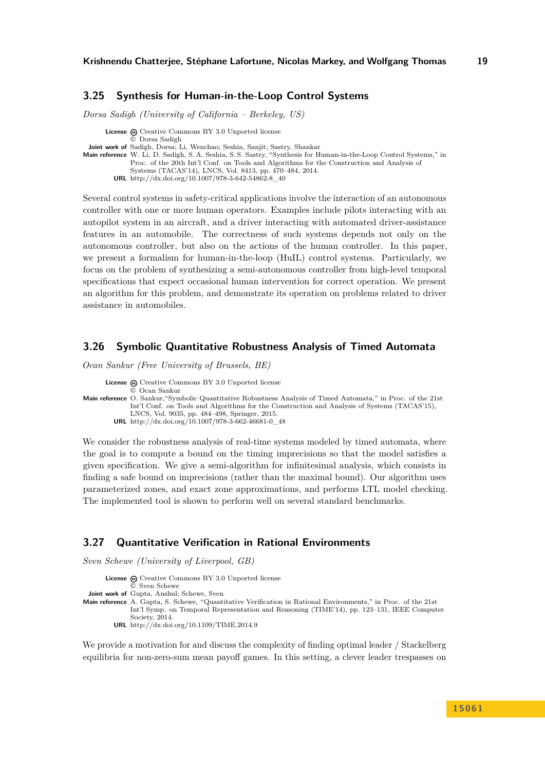## <span id="page-18-0"></span>**3.25 Synthesis for Human-in-the-Loop Control Systems**

*Dorsa Sadigh (University of California – Berkeley, US)*

**License**  $\textcircled{e}$  [Creative Commons BY 3.0 Unported](http://creativecommons.org/licenses/by/3.0/) license © [Dorsa Sadigh](#page-18-0) **Joint work of** Sadigh, Dorsa; Li, Wenchao; Seshia, Sanjit; Sastry, Shankar **Main reference** [W. Li, D. Sadigh, S. A. Seshia, S. S. Sastry, "Synthesis for Human-in-the-Loop Control Systems," in](http://dx.doi.org/10.1007/978-3-642-54862-8_40) [Proc. of the 20th Int'l Conf. on Tools and Algorithms for the Construction and Analysis of](http://dx.doi.org/10.1007/978-3-642-54862-8_40) [Systems \(TACAS'14\), LNCS, Vol. 8413, pp. 470–484, 2014.](http://dx.doi.org/10.1007/978-3-642-54862-8_40) **URL** [http://dx.doi.org/10.1007/978-3-642-54862-8\\_40](http://dx.doi.org/10.1007/978-3-642-54862-8_40)

Several control systems in safety-critical applications involve the interaction of an autonomous controller with one or more human operators. Examples include pilots interacting with an autopilot system in an aircraft, and a driver interacting with automated driver-assistance features in an automobile. The correctness of such systems depends not only on the autonomous controller, but also on the actions of the human controller. In this paper, we present a formalism for human-in-the-loop (HuIL) control systems. Particularly, we focus on the problem of synthesizing a semi-autonomous controller from high-level temporal specifications that expect occasional human intervention for correct operation. We present an algorithm for this problem, and demonstrate its operation on problems related to driver assistance in automobiles.

## <span id="page-18-1"></span>**3.26 Symbolic Quantitative Robustness Analysis of Timed Automata**

*Ocan Sankur (Free University of Brussels, BE)*

License  $\bigcirc$  [Creative Commons BY 3.0 Unported](http://creativecommons.org/licenses/by/3.0/) license © [Ocan Sankur](#page-18-1) **Main reference** [O. Sankur,"Symbolic Quantitative Robustness Analysis of Timed Automata," in Proc. of the 21st](http://dx.doi.org/10.1007/978-3-662-46681-0_48) [Int'l Conf. on Tools and Algorithms for the Construction and Analysis of Systems \(TACAS'15\),](http://dx.doi.org/10.1007/978-3-662-46681-0_48) [LNCS, Vol. 9035, pp. 484–498, Springer, 2015.](http://dx.doi.org/10.1007/978-3-662-46681-0_48) **URL** [http://dx.doi.org/10.1007/978-3-662-46681-0\\_48](http://dx.doi.org/10.1007/978-3-662-46681-0_48)

We consider the robustness analysis of real-time systems modeled by timed automata, where the goal is to compute a bound on the timing imprecisions so that the model satisfies a given specification. We give a semi-algorithm for infinitesimal analysis, which consists in finding a safe bound on imprecisions (rather than the maximal bound). Our algorithm uses parameterized zones, and exact zone approximations, and performs LTL model checking. The implemented tool is shown to perform well on several standard benchmarks.

#### <span id="page-18-2"></span>**3.27 Quantitative Verification in Rational Environments**

*Sven Schewe (University of Liverpool, GB)*

- License  $\textcircled{c}$  [Creative Commons BY 3.0 Unported](http://creativecommons.org/licenses/by/3.0/) license © [Sven Schewe](#page-18-2) **Joint work of** Gupta, Anshul; Schewe, Sven
- **Main reference** [A. Gupta, S. Schewe, "Quantitative Verification in Rational Environments," in Proc. of the 21st](http://dx.doi.org/10.1109/TIME.2014.9) [Int'l Symp. on Temporal Representation and Reasoning \(TIME'14\), pp. 123–131, IEEE Computer](http://dx.doi.org/10.1109/TIME.2014.9) [Society, 2014.](http://dx.doi.org/10.1109/TIME.2014.9) **URL** <http://dx.doi.org/10.1109/TIME.2014.9>

We provide a motivation for and discuss the complexity of finding optimal leader / Stackelberg equilibria for non-zero-sum mean payoff games. In this setting, a clever leader trespasses on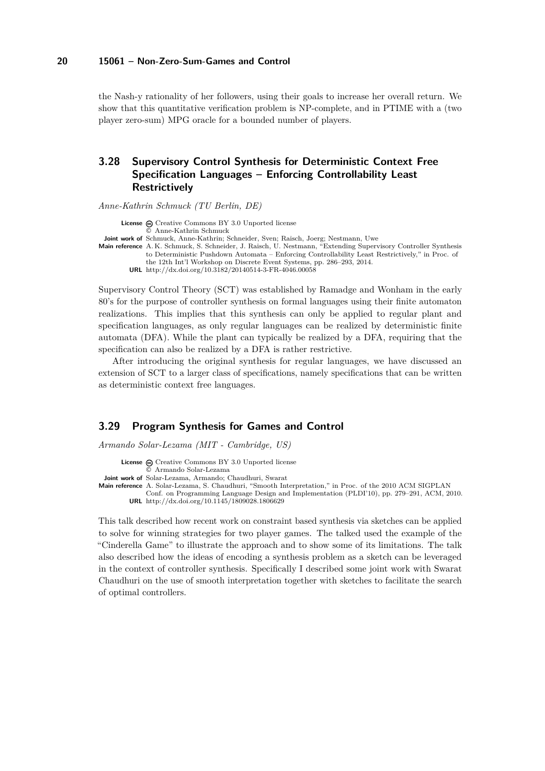the Nash-y rationality of her followers, using their goals to increase her overall return. We show that this quantitative verification problem is NP-complete, and in PTIME with a (two player zero-sum) MPG oracle for a bounded number of players.

# <span id="page-19-0"></span>**3.28 Supervisory Control Synthesis for Deterministic Context Free Specification Languages – Enforcing Controllability Least Restrictively**

*Anne-Kathrin Schmuck (TU Berlin, DE)*

License  $\textcircled{c}$  [Creative Commons BY 3.0 Unported](http://creativecommons.org/licenses/by/3.0/) license © [Anne-Kathrin Schmuck](#page-19-0)

**Joint work of** Schmuck, Anne-Kathrin; Schneider, Sven; Raisch, Joerg; Nestmann, Uwe

**Main reference** [A. K. Schmuck, S. Schneider, J. Raisch, U. Nestmann, "Extending Supervisory Controller Synthesis](http://dx.doi.org/10.3182/20140514-3-FR-4046.00058) [to Deterministic Pushdown Automata – Enforcing Controllability Least Restrictively," in Proc. of](http://dx.doi.org/10.3182/20140514-3-FR-4046.00058) [the 12th Int'l Workshop on Discrete Event Systems, pp. 286–293, 2014.](http://dx.doi.org/10.3182/20140514-3-FR-4046.00058) **URL** <http://dx.doi.org/10.3182/20140514-3-FR-4046.00058>

Supervisory Control Theory (SCT) was established by Ramadge and Wonham in the early 80's for the purpose of controller synthesis on formal languages using their finite automaton realizations. This implies that this synthesis can only be applied to regular plant and specification languages, as only regular languages can be realized by deterministic finite automata (DFA). While the plant can typically be realized by a DFA, requiring that the specification can also be realized by a DFA is rather restrictive.

After introducing the original synthesis for regular languages, we have discussed an extension of SCT to a larger class of specifications, namely specifications that can be written as deterministic context free languages.

#### <span id="page-19-1"></span>**3.29 Program Synthesis for Games and Control**

*Armando Solar-Lezama (MIT - Cambridge, US)*

License  $\textcircled{c}$  [Creative Commons BY 3.0 Unported](http://creativecommons.org/licenses/by/3.0/) license © [Armando Solar-Lezama](#page-19-1)

**Joint work of** Solar-Lezama, Armando; Chaudhuri, Swarat

**Main reference** [A. Solar-Lezama, S. Chaudhuri, "Smooth Interpretation," in Proc. of the 2010 ACM SIGPLAN](http://dx.doi.org/10.1145/1809028.1806629)

[Conf. on Programming Language Design and Implementation \(PLDI'10\), pp. 279–291, ACM, 2010.](http://dx.doi.org/10.1145/1809028.1806629) **URL** <http://dx.doi.org/10.1145/1809028.1806629>

This talk described how recent work on constraint based synthesis via sketches can be applied to solve for winning strategies for two player games. The talked used the example of the "Cinderella Game" to illustrate the approach and to show some of its limitations. The talk also described how the ideas of encoding a synthesis problem as a sketch can be leveraged in the context of controller synthesis. Specifically I described some joint work with Swarat Chaudhuri on the use of smooth interpretation together with sketches to facilitate the search of optimal controllers.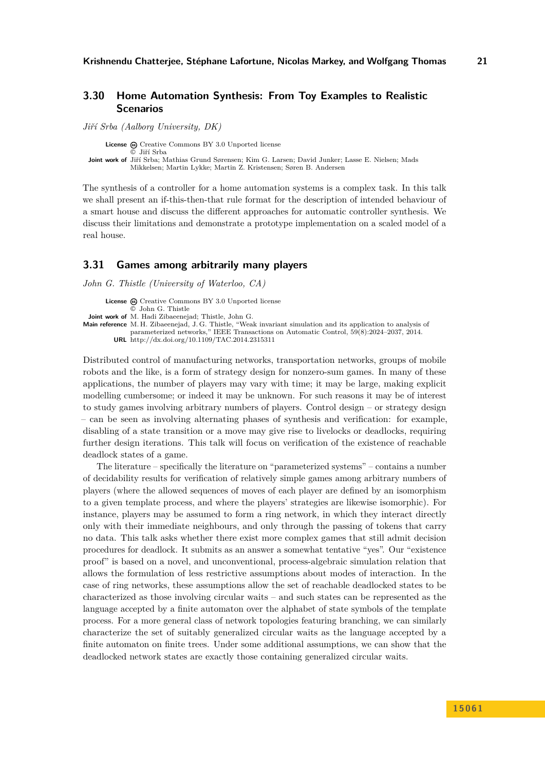# <span id="page-20-0"></span>**3.30 Home Automation Synthesis: From Toy Examples to Realistic Scenarios**

*Jiří Srba (Aalborg University, DK)*

**License**  $\textcircled{c}$  [Creative Commons BY 3.0 Unported](http://creativecommons.org/licenses/by/3.0/) license © [Jiří Srba](#page-20-0) **Joint work of** Jiří Srba; Mathias Grund Sørensen; Kim G. Larsen; David Junker; Lasse E. Nielsen; Mads Mikkelsen; Martin Lykke; Martin Z. Kristensen; Søren B. Andersen

The synthesis of a controller for a home automation systems is a complex task. In this talk we shall present an if-this-then-that rule format for the description of intended behaviour of a smart house and discuss the different approaches for automatic controller synthesis. We discuss their limitations and demonstrate a prototype implementation on a scaled model of a real house.

## <span id="page-20-1"></span>**3.31 Games among arbitrarily many players**

*John G. Thistle (University of Waterloo, CA)*

**License**  $\textcircled{c}$  [Creative Commons BY 3.0 Unported](http://creativecommons.org/licenses/by/3.0/) license [John G. Thistle](#page-20-1) **Joint work of** M. Hadi Zibaeenejad; Thistle, John G. **Main reference** [M. H. Zibaeenejad, J. G. Thistle, "Weak invariant simulation and its application to analysis of](http://dx.doi.org/10.1109/TAC.2014.2315311) [parameterized networks," IEEE Transactions on Automatic Control, 59\(8\):2024–2037, 2014.](http://dx.doi.org/10.1109/TAC.2014.2315311) **URL** <http://dx.doi.org/10.1109/TAC.2014.2315311>

Distributed control of manufacturing networks, transportation networks, groups of mobile robots and the like, is a form of strategy design for nonzero-sum games. In many of these applications, the number of players may vary with time; it may be large, making explicit modelling cumbersome; or indeed it may be unknown. For such reasons it may be of interest to study games involving arbitrary numbers of players. Control design – or strategy design – can be seen as involving alternating phases of synthesis and verification: for example, disabling of a state transition or a move may give rise to livelocks or deadlocks, requiring further design iterations. This talk will focus on verification of the existence of reachable deadlock states of a game.

The literature – specifically the literature on "parameterized systems" – contains a number of decidability results for verification of relatively simple games among arbitrary numbers of players (where the allowed sequences of moves of each player are defined by an isomorphism to a given template process, and where the players' strategies are likewise isomorphic). For instance, players may be assumed to form a ring network, in which they interact directly only with their immediate neighbours, and only through the passing of tokens that carry no data. This talk asks whether there exist more complex games that still admit decision procedures for deadlock. It submits as an answer a somewhat tentative "yes". Our "existence proof" is based on a novel, and unconventional, process-algebraic simulation relation that allows the formulation of less restrictive assumptions about modes of interaction. In the case of ring networks, these assumptions allow the set of reachable deadlocked states to be characterized as those involving circular waits – and such states can be represented as the language accepted by a finite automaton over the alphabet of state symbols of the template process. For a more general class of network topologies featuring branching, we can similarly characterize the set of suitably generalized circular waits as the language accepted by a finite automaton on finite trees. Under some additional assumptions, we can show that the deadlocked network states are exactly those containing generalized circular waits.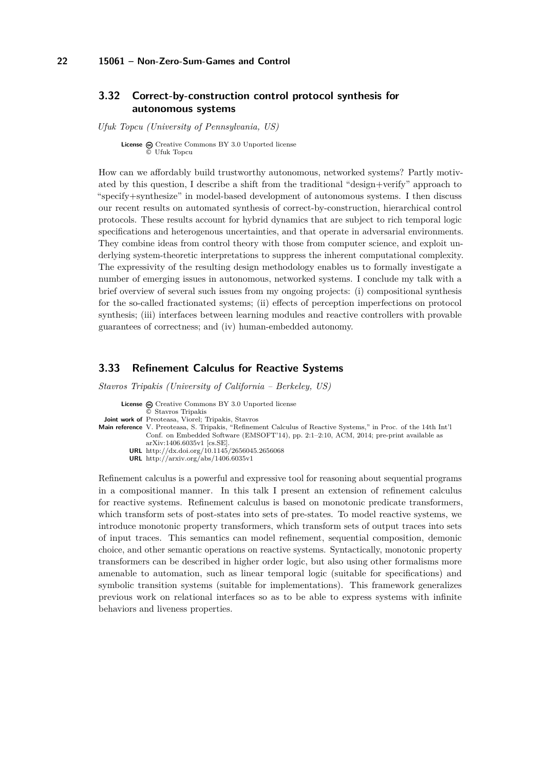# <span id="page-21-0"></span>**3.32 Correct-by-construction control protocol synthesis for autonomous systems**

*Ufuk Topcu (University of Pennsylvania, US)*

**License** @ [Creative Commons BY 3.0 Unported](http://creativecommons.org/licenses/by/3.0/) license © [Ufuk Topcu](#page-21-0)

How can we affordably build trustworthy autonomous, networked systems? Partly motivated by this question, I describe a shift from the traditional "design+verify" approach to "specify+synthesize" in model-based development of autonomous systems. I then discuss our recent results on automated synthesis of correct-by-construction, hierarchical control protocols. These results account for hybrid dynamics that are subject to rich temporal logic specifications and heterogenous uncertainties, and that operate in adversarial environments. They combine ideas from control theory with those from computer science, and exploit underlying system-theoretic interpretations to suppress the inherent computational complexity. The expressivity of the resulting design methodology enables us to formally investigate a number of emerging issues in autonomous, networked systems. I conclude my talk with a brief overview of several such issues from my ongoing projects: (i) compositional synthesis for the so-called fractionated systems; (ii) effects of perception imperfections on protocol synthesis; (iii) interfaces between learning modules and reactive controllers with provable guarantees of correctness; and (iv) human-embedded autonomy.

## <span id="page-21-1"></span>**3.33 Refinement Calculus for Reactive Systems**

*Stavros Tripakis (University of California – Berkeley, US)*

| <b>License</b> $\omega$ Creative Commons BY 3.0 Unported license                                                       |
|------------------------------------------------------------------------------------------------------------------------|
| © Stavros Tripakis                                                                                                     |
| <b>Joint work of</b> Preoteasa, Viorel; Tripakis, Stavros                                                              |
| <b>Main reference</b> V. Preoteasa, S. Tripakis, "Refinement Calculus of Reactive Systems," in Proc. of the 14th Int'l |
| Conf. on Embedded Software (EMSOFT'14), pp. 2:1-2:10, ACM, 2014; pre-print available as                                |
| $arXiv:1406.6035v1$ [cs.SE].                                                                                           |
| <b>URL</b> http://dx.doi.org/10.1145/2656045.2656068                                                                   |
| <b>URL</b> http://arxiv.org/abs/1406.6035v1                                                                            |

Refinement calculus is a powerful and expressive tool for reasoning about sequential programs in a compositional manner. In this talk I present an extension of refinement calculus for reactive systems. Refinement calculus is based on monotonic predicate transformers, which transform sets of post-states into sets of pre-states. To model reactive systems, we introduce monotonic property transformers, which transform sets of output traces into sets of input traces. This semantics can model refinement, sequential composition, demonic choice, and other semantic operations on reactive systems. Syntactically, monotonic property transformers can be described in higher order logic, but also using other formalisms more amenable to automation, such as linear temporal logic (suitable for specifications) and symbolic transition systems (suitable for implementations). This framework generalizes previous work on relational interfaces so as to be able to express systems with infinite behaviors and liveness properties.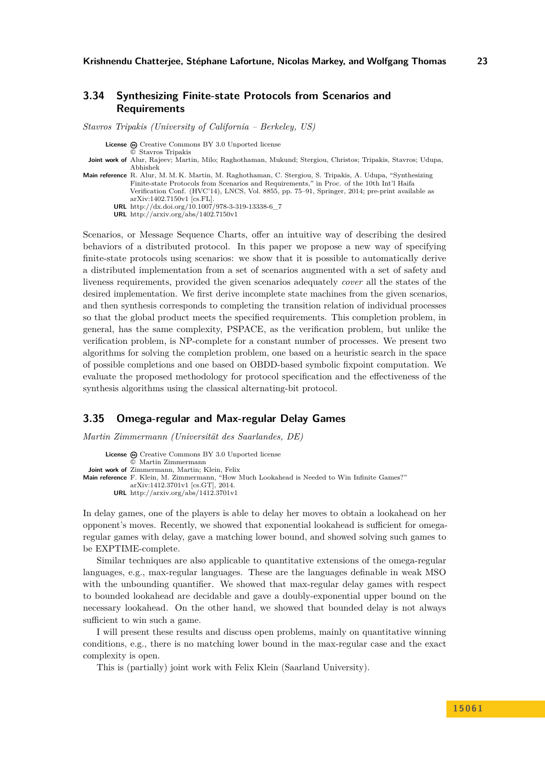## <span id="page-22-0"></span>**3.34 Synthesizing Finite-state Protocols from Scenarios and Requirements**

*Stavros Tripakis (University of California – Berkeley, US)*

License  $\textcircled{c}$  [Creative Commons BY 3.0 Unported](http://creativecommons.org/licenses/by/3.0/) license

© [Stavros Tripakis](#page-22-0)

- **Joint work of** Alur, Rajeev; Martin, Milo; Raghothaman, Mukund; Stergiou, Christos; Tripakis, Stavros; Udupa, Abhishek
- **Main reference** [R. Alur, M. M. K. Martin, M. Raghothaman, C. Stergiou, S. Tripakis, A. Udupa, "Synthesizing](http://dx.doi.org/10.1007/978-3-319-13338-6_7) [Finite-state Protocols from Scenarios and Requirements," in Proc. of the 10th Int'l Haifa](http://dx.doi.org/10.1007/978-3-319-13338-6_7) [Verification Conf. \(HVC'14\), LNCS, Vol. 8855, pp. 75–91, Springer, 2014; pre-print available as](http://dx.doi.org/10.1007/978-3-319-13338-6_7) [arXiv:1402.7150v1 \[cs.FL\].](http://dx.doi.org/10.1007/978-3-319-13338-6_7)

**URL** [http://dx.doi.org/10.1007/978-3-319-13338-6\\_7](http://dx.doi.org/10.1007/978-3-319-13338-6_7)

**URL** <http://arxiv.org/abs/1402.7150v1>

Scenarios, or Message Sequence Charts, offer an intuitive way of describing the desired behaviors of a distributed protocol. In this paper we propose a new way of specifying finite-state protocols using scenarios: we show that it is possible to automatically derive a distributed implementation from a set of scenarios augmented with a set of safety and liveness requirements, provided the given scenarios adequately *cover* all the states of the desired implementation. We first derive incomplete state machines from the given scenarios, and then synthesis corresponds to completing the transition relation of individual processes so that the global product meets the specified requirements. This completion problem, in general, has the same complexity, PSPACE, as the verification problem, but unlike the verification problem, is NP-complete for a constant number of processes. We present two algorithms for solving the completion problem, one based on a heuristic search in the space of possible completions and one based on OBDD-based symbolic fixpoint computation. We evaluate the proposed methodology for protocol specification and the effectiveness of the synthesis algorithms using the classical alternating-bit protocol.

#### <span id="page-22-1"></span>**3.35 Omega-regular and Max-regular Delay Games**

*Martin Zimmermann (Universität des Saarlandes, DE)*

```
License \textcircled{e}Creative Commons BY 3.0 Unported license
               © Martin Zimmermann
 Joint work of Zimmermann, Martin; Klein, Felix
Main reference F. Klein, M. Zimmermann, "How Much Lookahead is Needed to Win Infinite Games?"
              arXiv:1412.3701v1 [cs.GT], 2014.
         URL http://arxiv.org/abs/1412.3701v1
```
In delay games, one of the players is able to delay her moves to obtain a lookahead on her opponent's moves. Recently, we showed that exponential lookahead is sufficient for omegaregular games with delay, gave a matching lower bound, and showed solving such games to be EXPTIME-complete.

Similar techniques are also applicable to quantitative extensions of the omega-regular languages, e.g., max-regular languages. These are the languages definable in weak MSO with the unbounding quantifier. We showed that max-regular delay games with respect to bounded lookahead are decidable and gave a doubly-exponential upper bound on the necessary lookahead. On the other hand, we showed that bounded delay is not always sufficient to win such a game.

I will present these results and discuss open problems, mainly on quantitative winning conditions, e.g., there is no matching lower bound in the max-regular case and the exact complexity is open.

This is (partially) joint work with Felix Klein (Saarland University).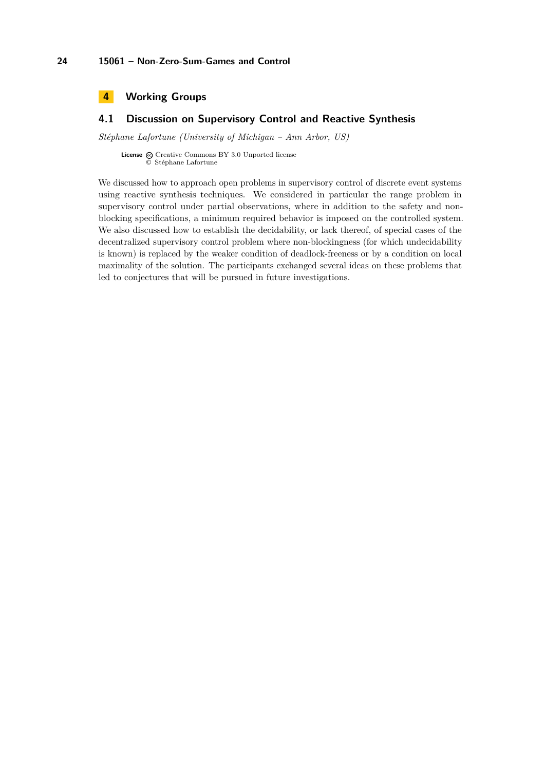<span id="page-23-0"></span>

# <span id="page-23-1"></span>**4.1 Discussion on Supervisory Control and Reactive Synthesis**

*Stéphane Lafortune (University of Michigan – Ann Arbor, US)*

License  $\textcircled{c}$  [Creative Commons BY 3.0 Unported](http://creativecommons.org/licenses/by/3.0/) license © [Stéphane Lafortune](#page-23-1)

We discussed how to approach open problems in supervisory control of discrete event systems using reactive synthesis techniques. We considered in particular the range problem in supervisory control under partial observations, where in addition to the safety and nonblocking specifications, a minimum required behavior is imposed on the controlled system. We also discussed how to establish the decidability, or lack thereof, of special cases of the decentralized supervisory control problem where non-blockingness (for which undecidability is known) is replaced by the weaker condition of deadlock-freeness or by a condition on local maximality of the solution. The participants exchanged several ideas on these problems that led to conjectures that will be pursued in future investigations.